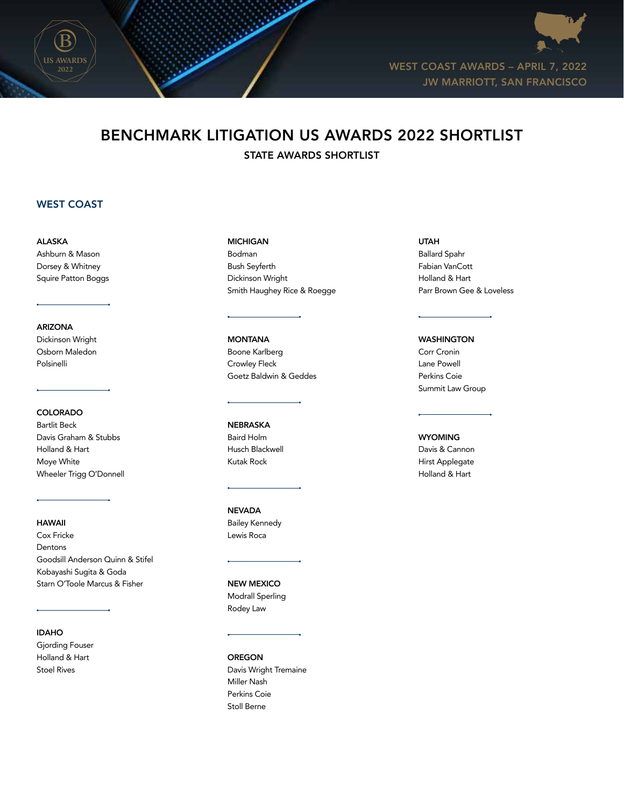



WEST COAST AWARDS – APRIL 7, 2022 JW MARRIOTT, SAN FRANCISCO

# BENCHMARK LITIGATION US AWARDS 2022 SHORTLIST

STATE AWARDS SHORTLIST

# WEST COAST

ALASKA Ashburn & Mason Dorsey & Whitney Squire Patton Boggs

#### ARIZONA

Dickinson Wright Osborn Maledon Polsinelli

# COLORADO

Bartlit Beck Davis Graham & Stubbs Holland & Hart Moye White Wheeler Trigg O'Donnell

# HAWAII

Cox Fricke Dentons Goodsill Anderson Quinn & Stifel Kobayashi Sugita & Goda Starn O'Toole Marcus & Fisher

## IDAHO

Gjording Fouser Holland & Hart Stoel Rives

#### MICHIGAN

Bodman Bush Seyferth Dickinson Wright Smith Haughey Rice & Roegge

### **MONTANA** Boone Karlberg Crowley Fleck Goetz Baldwin & Geddes

NEBRASKA Baird Holm Husch Blackwell Kutak Rock

#### NEVADA Bailey Kennedy Lewis Roca

NEW MEXICO Modrall Sperling Rodey Law

OREGON Davis Wright Tremaine Miller Nash Perkins Coie Stoll Berne

#### UTAH

Ballard Spahr Fabian VanCott Holland & Hart Parr Brown Gee & Loveless

### WASHINGTON

Corr Cronin Lane Powell Perkins Coie Summit Law Group

# **WYOMING**

Davis & Cannon Hirst Applegate Holland & Hart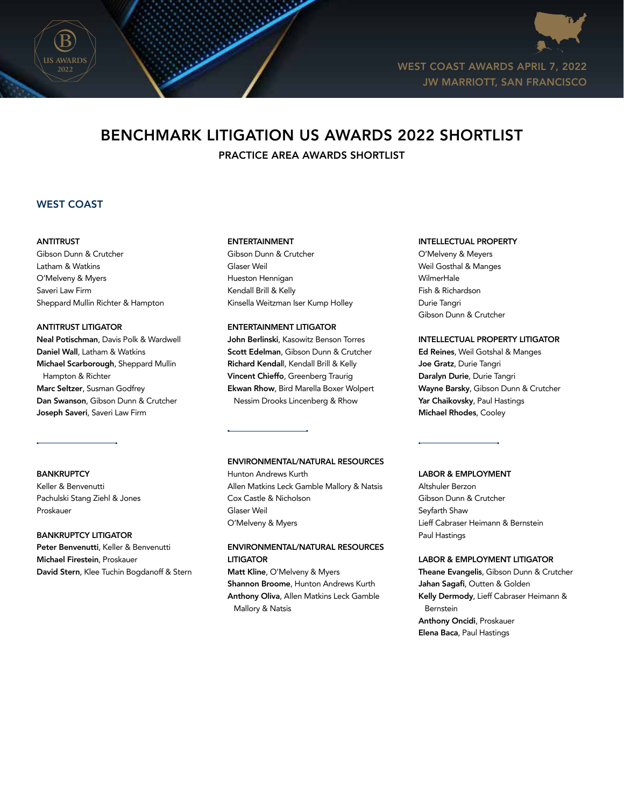



WEST COAST AWARDS APRIL 7, 2022 JW MARRIOTT, SAN FRANCISCO

# BENCHMARK LITIGATION US AWARDS 2022 SHORTLIST

PRACTICE AREA AWARDS SHORTLIST

# WEST COAST

#### ANTITRUST

Gibson Dunn & Crutcher Latham & Watkins O'Melveny & Myers Saveri Law Firm Sheppard Mullin Richter & Hampton

#### ANTITRUST LITIGATOR

Neal Potischman, Davis Polk & Wardwell Daniel Wall, Latham & Watkins Michael Scarborough, Sheppard Mullin Hampton & Richter Marc Seltzer, Susman Godfrey Dan Swanson, Gibson Dunn & Crutcher Joseph Saveri, Saveri Law Firm

**BANKRUPTCY** 

Keller & Benvenutti Pachulski Stang Ziehl & Jones Proskauer

#### BANKRUPTCY LITIGATOR

Peter Benvenutti, Keller & Benvenutti Michael Firestein, Proskauer David Stern, Klee Tuchin Bogdanoff & Stern

#### ENTERTAINMENT

Gibson Dunn & Crutcher Glaser Weil Hueston Hennigan Kendall Brill & Kelly Kinsella Weitzman Iser Kump Holley

#### ENTERTAINMENT LITIGATOR

John Berlinski, Kasowitz Benson Torres Scott Edelman, Gibson Dunn & Crutcher Richard Kendall, Kendall Brill & Kelly Vincent Chieffo, Greenberg Traurig Ekwan Rhow, Bird Marella Boxer Wolpert Nessim Drooks Lincenberg & Rhow

#### ENVIRONMENTAL/NATURAL RESOURCES

Hunton Andrews Kurth Allen Matkins Leck Gamble Mallory & Natsis Cox Castle & Nicholson Glaser Weil O'Melveny & Myers

## ENVIRONMENTAL/NATURAL RESOURCES LITIGATOR

Matt Kline, O'Melveny & Myers Shannon Broome, Hunton Andrews Kurth Anthony Oliva, Allen Matkins Leck Gamble Mallory & Natsis

#### INTELLECTUAL PROPERTY

O'Melveny & Meyers Weil Gosthal & Manges WilmerHale Fish & Richardson Durie Tangri Gibson Dunn & Crutcher

### INTELLECTUAL PROPERTY LITIGATOR

Ed Reines, Weil Gotshal & Manges Joe Gratz, Durie Tangri Daralyn Durie, Durie Tangri Wayne Barsky, Gibson Dunn & Crutcher Yar Chaikovsky, Paul Hastings Michael Rhodes, Cooley

#### LABOR & EMPLOYMENT

Altshuler Berzon Gibson Dunn & Crutcher Seyfarth Shaw Lieff Cabraser Heimann & Bernstein Paul Hastings

#### LABOR & EMPLOYMENT LITIGATOR

Theane Evangelis, Gibson Dunn & Crutcher Jahan Sagafi, Outten & Golden Kelly Dermody, Lieff Cabraser Heimann & Bernstein Anthony Oncidi, Proskauer Elena Baca, Paul Hastings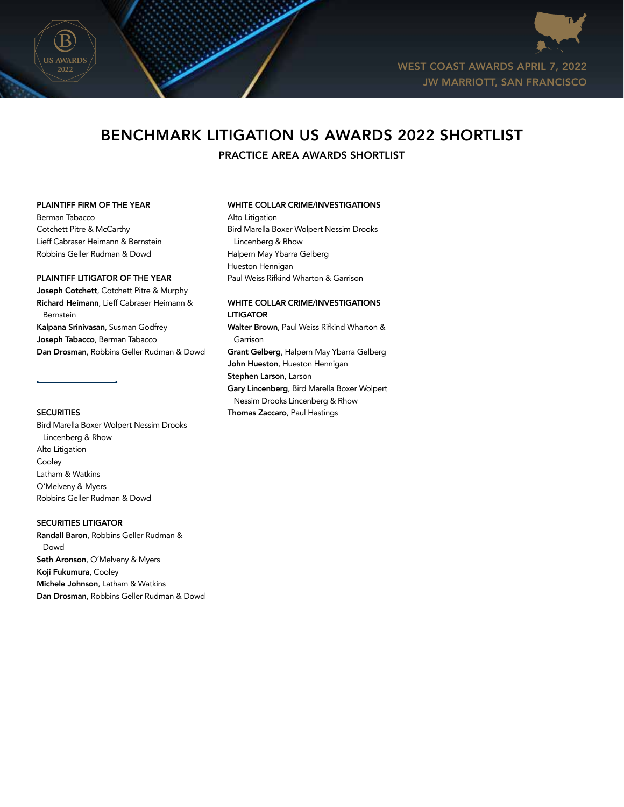

WEST COAST AWARDS APRIL 7, 2022 JW MARRIOTT, SAN FRANCISCO

# BENCHMARK LITIGATION US AWARDS 2022 SHORTLIST

PRACTICE AREA AWARDS SHORTLIST

#### PLAINTIFF FIRM OF THE YEAR

Berman Tabacco Cotchett Pitre & McCarthy Lieff Cabraser Heimann & Bernstein Robbins Geller Rudman & Dowd

# PLAINTIFF LITIGATOR OF THE YEAR

Joseph Cotchett, Cotchett Pitre & Murphy Richard Heimann, Lieff Cabraser Heimann & Bernstein Kalpana Srinivasan, Susman Godfrey Joseph Tabacco, Berman Tabacco Dan Drosman, Robbins Geller Rudman & Dowd

#### **SECURITIES**

Bird Marella Boxer Wolpert Nessim Drooks Lincenberg & Rhow Alto Litigation Cooley Latham & Watkins O'Melveny & Myers Robbins Geller Rudman & Dowd

### SECURITIES LITIGATOR

Randall Baron, Robbins Geller Rudman & Dowd Seth Aronson, O'Melveny & Myers Koji Fukumura, Cooley Michele Johnson, Latham & Watkins Dan Drosman, Robbins Geller Rudman & Dowd

#### WHITE COLLAR CRIME/INVESTIGATIONS

Alto Litigation Bird Marella Boxer Wolpert Nessim Drooks Lincenberg & Rhow Halpern May Ybarra Gelberg Hueston Hennigan Paul Weiss Rifkind Wharton & Garrison

#### WHITE COLLAR CRIME/INVESTIGATIONS LITIGATOR

Walter Brown, Paul Weiss Rifkind Wharton & Garrison Grant Gelberg, Halpern May Ybarra Gelberg John Hueston, Hueston Hennigan Stephen Larson, Larson Gary Lincenberg, Bird Marella Boxer Wolpert Nessim Drooks Lincenberg & Rhow Thomas Zaccaro, Paul Hastings